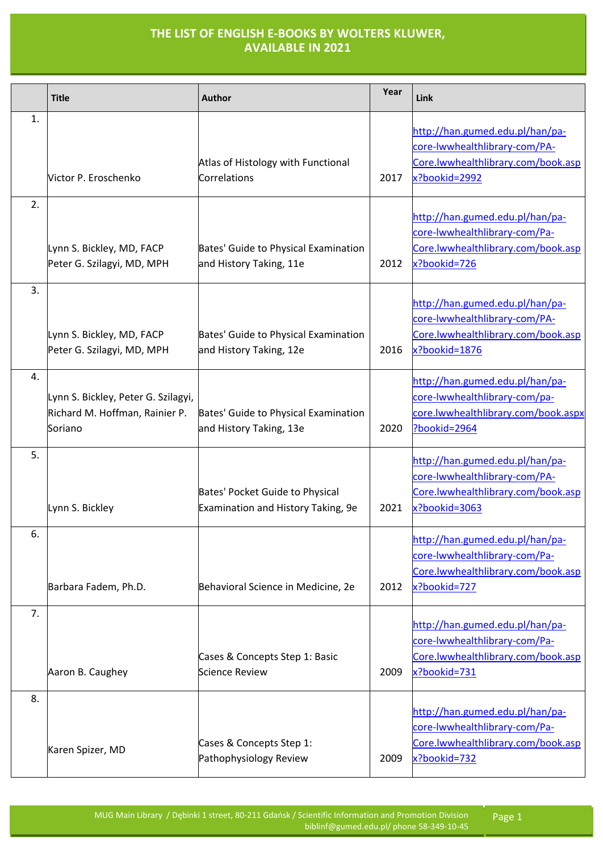|    | <b>Title</b>                                                                     | <b>Author</b>                                                         | Year | Link                                                                                                                    |
|----|----------------------------------------------------------------------------------|-----------------------------------------------------------------------|------|-------------------------------------------------------------------------------------------------------------------------|
| 1. | Victor P. Eroschenko                                                             | Atlas of Histology with Functional<br>Correlations                    | 2017 | http://han.gumed.edu.pl/han/pa-<br>core-lwwhealthlibrary-com/PA-<br>Core.lwwhealthlibrary.com/book.asp<br>x?bookid=2992 |
| 2. | Lynn S. Bickley, MD, FACP<br>Peter G. Szilagyi, MD, MPH                          | Bates' Guide to Physical Examination<br>and History Taking, 11e       | 2012 | http://han.gumed.edu.pl/han/pa-<br>core-lwwhealthlibrary-com/Pa-<br>Core.lwwhealthlibrary.com/book.asp<br>x?bookid=726  |
| 3. | Lynn S. Bickley, MD, FACP<br>Peter G. Szilagyi, MD, MPH                          | Bates' Guide to Physical Examination<br>and History Taking, 12e       | 2016 | http://han.gumed.edu.pl/han/pa-<br>core-lwwhealthlibrary-com/PA-<br>Core.lwwhealthlibrary.com/book.asp<br>x?bookid=1876 |
| 4. | Lynn S. Bickley, Peter G. Szilagyi,<br>Richard M. Hoffman, Rainier P.<br>Soriano | Bates' Guide to Physical Examination<br>and History Taking, 13e       | 2020 | http://han.gumed.edu.pl/han/pa-<br>core-lwwhealthlibrary-com/pa-<br>core.lwwhealthlibrary.com/book.aspx<br>?bookid=2964 |
| 5. | Lynn S. Bickley                                                                  | Bates' Pocket Guide to Physical<br>Examination and History Taking, 9e | 2021 | http://han.gumed.edu.pl/han/pa-<br>core-lwwhealthlibrary-com/PA-<br>Core.lwwhealthlibrary.com/book.asp<br>x?bookid=3063 |
| 6. | Barbara Fadem, Ph.D.                                                             | Behavioral Science in Medicine, 2e                                    | 2012 | http://han.gumed.edu.pl/han/pa-<br>core-lwwhealthlibrary-com/Pa-<br>Core.lwwhealthlibrary.com/book.asp<br>x?bookid=727  |
| 7. | Aaron B. Caughey                                                                 | Cases & Concepts Step 1: Basic<br>Science Review                      | 2009 | http://han.gumed.edu.pl/han/pa-<br>core-lwwhealthlibrary-com/Pa-<br>Core.lwwhealthlibrary.com/book.asp<br>x?bookid=731  |
| 8. | Karen Spizer, MD                                                                 | Cases & Concepts Step 1:<br>Pathophysiology Review                    | 2009 | http://han.gumed.edu.pl/han/pa-<br>core-lwwhealthlibrary-com/Pa-<br>Core.lwwhealthlibrary.com/book.asp<br>x?bookid=732  |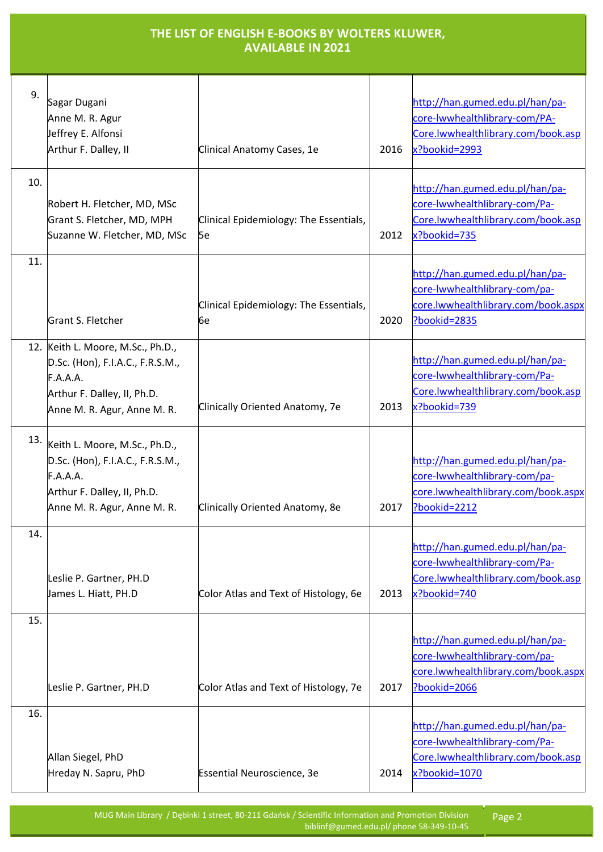| THE LIST OF ENGLISH E-BOOKS BY WOLTERS KLUWER,<br><b>AVAILABLE IN 2021</b> |                                                                                                                                                 |                                              |      |                                                                                                                         |
|----------------------------------------------------------------------------|-------------------------------------------------------------------------------------------------------------------------------------------------|----------------------------------------------|------|-------------------------------------------------------------------------------------------------------------------------|
| 9.                                                                         | Sagar Dugani<br>Anne M. R. Agur<br>Jeffrey E. Alfonsi<br>Arthur F. Dalley, II                                                                   | Clinical Anatomy Cases, 1e                   | 2016 | http://han.gumed.edu.pl/han/pa-<br>core-lwwhealthlibrary-com/PA-<br>Core.lwwhealthlibrary.com/book.asp<br>x?bookid=2993 |
| 10.                                                                        | Robert H. Fletcher, MD, MSc<br>Grant S. Fletcher, MD, MPH<br>Suzanne W. Fletcher, MD, MSc                                                       | Clinical Epidemiology: The Essentials,<br>5e | 2012 | http://han.gumed.edu.pl/han/pa-<br>core-lwwhealthlibrary-com/Pa-<br>Core.lwwhealthlibrary.com/book.asp<br>x?bookid=735  |
| 11.                                                                        | Grant S. Fletcher                                                                                                                               | Clinical Epidemiology: The Essentials,<br>6e | 2020 | http://han.gumed.edu.pl/han/pa-<br>core-lwwhealthlibrary-com/pa-<br>core.lwwhealthlibrary.com/book.aspx<br>Pbookid=2835 |
|                                                                            | 12. Keith L. Moore, M.Sc., Ph.D.,<br>D.Sc. (Hon), F.I.A.C., F.R.S.M.,<br>F.A.A.A.<br>Arthur F. Dalley, II, Ph.D.<br>Anne M. R. Agur, Anne M. R. | Clinically Oriented Anatomy, 7e              | 2013 | http://han.gumed.edu.pl/han/pa-<br>core-lwwhealthlibrary-com/Pa-<br>Core.lwwhealthlibrary.com/book.asp<br>x?bookid=739  |
| 13.                                                                        | Keith L. Moore, M.Sc., Ph.D.,<br>D.Sc. (Hon), F.I.A.C., F.R.S.M.,<br>F.A.A.A.<br>Arthur F. Dalley, II, Ph.D.<br>Anne M. R. Agur, Anne M. R.     | Clinically Oriented Anatomy, 8e              | 2017 | http://han.gumed.edu.pl/han/pa-<br>core-lwwhealthlibrary-com/pa-<br>core.lwwhealthlibrary.com/book.aspx<br>?bookid=2212 |
| 14.                                                                        | Leslie P. Gartner, PH.D<br>James L. Hiatt, PH.D                                                                                                 | Color Atlas and Text of Histology, 6e        | 2013 | http://han.gumed.edu.pl/han/pa-<br>core-lwwhealthlibrary-com/Pa-<br>Core.lwwhealthlibrary.com/book.asp<br>x?bookid=740  |
| 15.                                                                        | Leslie P. Gartner, PH.D                                                                                                                         | Color Atlas and Text of Histology, 7e        | 2017 | http://han.gumed.edu.pl/han/pa-<br>core-lwwhealthlibrary-com/pa-<br>core.lwwhealthlibrary.com/book.aspx<br>Pbookid=2066 |
| 16.                                                                        | Allan Siegel, PhD<br>Hreday N. Sapru, PhD                                                                                                       | Essential Neuroscience, 3e                   | 2014 | http://han.gumed.edu.pl/han/pa-<br>core-lwwhealthlibrary-com/Pa-<br>Core.lwwhealthlibrary.com/book.asp<br>x?bookid=1070 |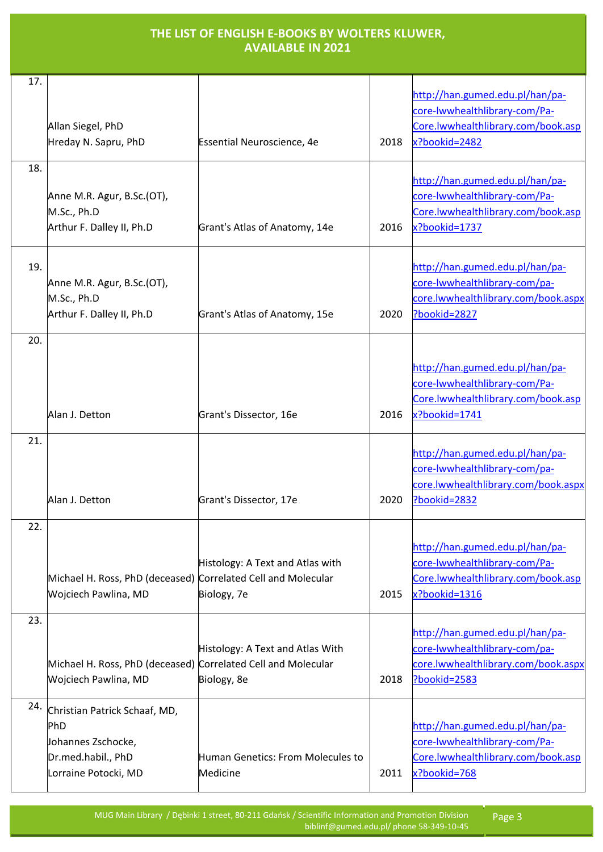| 17. | Allan Siegel, PhD<br>Hreday N. Sapru, PhD                                                                       | <b>Essential Neuroscience, 4e</b>               | 2018 | http://han.gumed.edu.pl/han/pa-<br>core-lwwhealthlibrary-com/Pa-<br>Core.lwwhealthlibrary.com/book.asp<br>x?bookid=2482 |
|-----|-----------------------------------------------------------------------------------------------------------------|-------------------------------------------------|------|-------------------------------------------------------------------------------------------------------------------------|
| 18. |                                                                                                                 |                                                 |      | http://han.gumed.edu.pl/han/pa-                                                                                         |
|     | Anne M.R. Agur, B.Sc.(OT),<br>M.Sc., Ph.D                                                                       |                                                 |      | core-lwwhealthlibrary-com/Pa-<br>Core.lwwhealthlibrary.com/book.asp                                                     |
|     | Arthur F. Dalley II, Ph.D                                                                                       | Grant's Atlas of Anatomy, 14e                   | 2016 | x?bookid=1737                                                                                                           |
| 19. | Anne M.R. Agur, B.Sc.(OT),<br>M.Sc., Ph.D<br>Arthur F. Dalley II, Ph.D                                          | Grant's Atlas of Anatomy, 15e                   | 2020 | http://han.gumed.edu.pl/han/pa-<br>core-lwwhealthlibrary-com/pa-<br>core.lwwhealthlibrary.com/book.aspx<br>?bookid=2827 |
| 20. |                                                                                                                 |                                                 |      |                                                                                                                         |
|     | Alan J. Detton                                                                                                  | Grant's Dissector, 16e                          | 2016 | http://han.gumed.edu.pl/han/pa-<br>core-lwwhealthlibrary-com/Pa-<br>Core.lwwhealthlibrary.com/book.asp<br>x?bookid=1741 |
| 21. | Alan J. Detton                                                                                                  |                                                 |      | http://han.gumed.edu.pl/han/pa-<br>core-lwwhealthlibrary-com/pa-<br>core.lwwhealthlibrary.com/book.aspx                 |
|     |                                                                                                                 | Grant's Dissector, 17e                          | 2020 | ?bookid=2832                                                                                                            |
| 22. | Michael H. Ross, PhD (deceased) Correlated Cell and Molecular<br>Wojciech Pawlina, MD                           | Histology: A Text and Atlas with<br>Biology, 7e | 2015 | http://han.gumed.edu.pl/han/pa-<br>core-lwwhealthlibrary-com/Pa-<br>Core.lwwhealthlibrary.com/book.asp<br>x?bookid=1316 |
| 23. | Michael H. Ross, PhD (deceased) Correlated Cell and Molecular<br>Wojciech Pawlina, MD                           | Histology: A Text and Atlas With<br>Biology, 8e | 2018 | http://han.gumed.edu.pl/han/pa-<br>core-lwwhealthlibrary-com/pa-<br>core.lwwhealthlibrary.com/book.aspx<br>Pbookid=2583 |
| 24. | Christian Patrick Schaaf, MD,<br><b>PhD</b><br>Johannes Zschocke,<br>Dr.med.habil., PhD<br>Lorraine Potocki, MD | Human Genetics: From Molecules to<br>Medicine   | 2011 | http://han.gumed.edu.pl/han/pa-<br>core-lwwhealthlibrary-com/Pa-<br>Core.lwwhealthlibrary.com/book.asp<br>x?bookid=768  |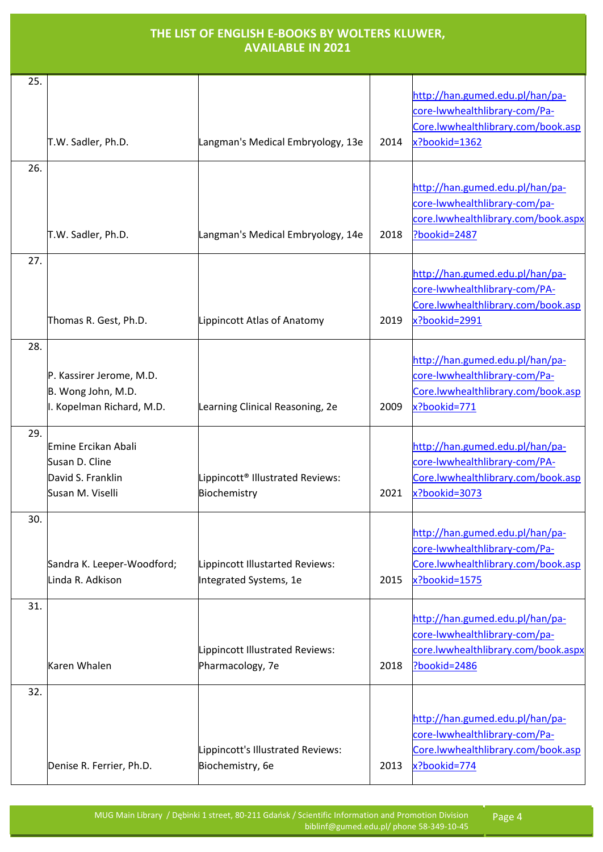| 25. | T.W. Sadler, Ph.D.                                                             | Langman's Medical Embryology, 13e                            | 2014 | http://han.gumed.edu.pl/han/pa-<br>core-lwwhealthlibrary-com/Pa-<br>Core.lwwhealthlibrary.com/book.asp<br>x?bookid=1362 |
|-----|--------------------------------------------------------------------------------|--------------------------------------------------------------|------|-------------------------------------------------------------------------------------------------------------------------|
| 26. | T.W. Sadler, Ph.D.                                                             | Langman's Medical Embryology, 14e                            | 2018 | http://han.gumed.edu.pl/han/pa-<br>core-lwwhealthlibrary-com/pa-<br>core.lwwhealthlibrary.com/book.aspx<br>Pbookid=2487 |
| 27. | Thomas R. Gest, Ph.D.                                                          | Lippincott Atlas of Anatomy                                  | 2019 | http://han.gumed.edu.pl/han/pa-<br>core-lwwhealthlibrary-com/PA-<br>Core.lwwhealthlibrary.com/book.asp<br>x?bookid=2991 |
| 28. | P. Kassirer Jerome, M.D.<br>B. Wong John, M.D.<br>. Kopelman Richard, M.D.     | Learning Clinical Reasoning, 2e                              | 2009 | http://han.gumed.edu.pl/han/pa-<br>core-lwwhealthlibrary-com/Pa-<br>Core.lwwhealthlibrary.com/book.asp<br>x?bookid=771  |
| 29. | Emine Ercikan Abali<br>Susan D. Cline<br>David S. Franklin<br>Susan M. Viselli | Lippincott <sup>®</sup> Illustrated Reviews:<br>Biochemistry | 2021 | http://han.gumed.edu.pl/han/pa-<br>core-lwwhealthlibrary-com/PA-<br>Core.lwwhealthlibrary.com/book.asp<br>x?bookid=3073 |
| 30. | Sandra K. Leeper-Woodford;<br>Linda R. Adkison                                 | Lippincott Illustarted Reviews:<br>Integrated Systems, 1e    | 2015 | http://han.gumed.edu.pl/han/pa-<br>core-lwwhealthlibrary-com/Pa-<br>Core.lwwhealthlibrary.com/book.asp<br>x?bookid=1575 |
| 31. | Karen Whalen                                                                   | Lippincott Illustrated Reviews:<br>Pharmacology, 7e          | 2018 | http://han.gumed.edu.pl/han/pa-<br>core-lwwhealthlibrary-com/pa-<br>core.lwwhealthlibrary.com/book.aspx<br>Pbookid=2486 |
| 32. | Denise R. Ferrier, Ph.D.                                                       | Lippincott's Illustrated Reviews:<br>Biochemistry, 6e        | 2013 | http://han.gumed.edu.pl/han/pa-<br>core-lwwhealthlibrary-com/Pa-<br>Core.lwwhealthlibrary.com/book.asp<br>x?bookid=774  |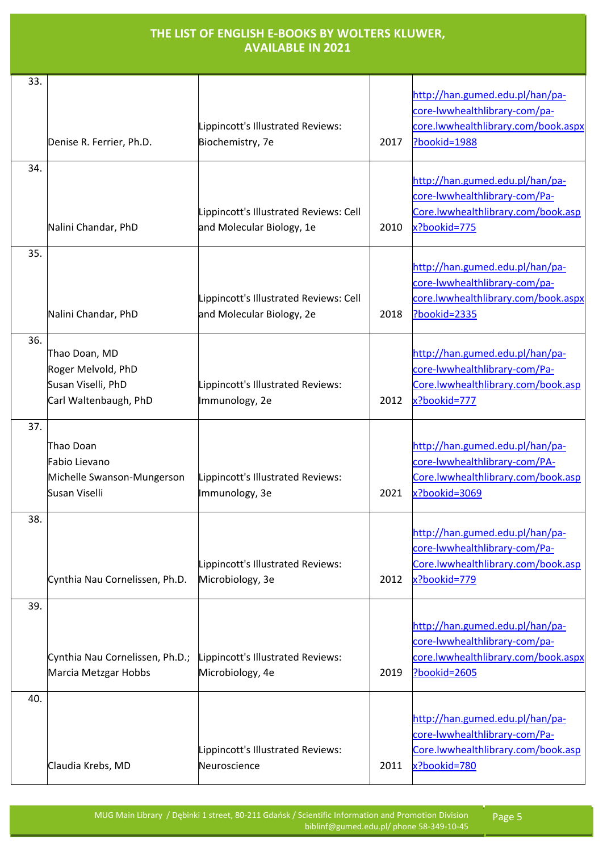| 33. | Denise R. Ferrier, Ph.D.                                                           | Lippincott's Illustrated Reviews:<br>Biochemistry, 7e               | 2017 | http://han.gumed.edu.pl/han/pa-<br>core-lwwhealthlibrary-com/pa-<br>core.lwwhealthlibrary.com/book.aspx<br>Pbookid=1988 |
|-----|------------------------------------------------------------------------------------|---------------------------------------------------------------------|------|-------------------------------------------------------------------------------------------------------------------------|
| 34. | Nalini Chandar, PhD                                                                | Lippincott's Illustrated Reviews: Cell<br>and Molecular Biology, 1e | 2010 | http://han.gumed.edu.pl/han/pa-<br>core-lwwhealthlibrary-com/Pa-<br>Core.lwwhealthlibrary.com/book.asp<br>x?bookid=775  |
| 35. | Nalini Chandar, PhD                                                                | Lippincott's Illustrated Reviews: Cell<br>and Molecular Biology, 2e | 2018 | http://han.gumed.edu.pl/han/pa-<br>core-lwwhealthlibrary-com/pa-<br>core.lwwhealthlibrary.com/book.aspx<br>Pbookid=2335 |
| 36. | Thao Doan, MD<br>Roger Melvold, PhD<br>Susan Viselli, PhD<br>Carl Waltenbaugh, PhD | Lippincott's Illustrated Reviews:<br>Immunology, 2e                 | 2012 | http://han.gumed.edu.pl/han/pa-<br>core-lwwhealthlibrary-com/Pa-<br>Core.lwwhealthlibrary.com/book.asp<br>x?bookid=777  |
| 37. | Thao Doan<br>Fabio Lievano<br>Michelle Swanson-Mungerson<br>Susan Viselli          | Lippincott's Illustrated Reviews:<br>Immunology, 3e                 | 2021 | http://han.gumed.edu.pl/han/pa-<br>core-lwwhealthlibrary-com/PA-<br>Core.lwwhealthlibrary.com/book.asp<br>x?bookid=3069 |
| 38. | Cynthia Nau Cornelissen, Ph.D.                                                     | Lippincott's Illustrated Reviews:<br>Microbiology, 3e               | 2012 | http://han.gumed.edu.pl/han/pa-<br>core-lwwhealthlibrary-com/Pa-<br>Core.lwwhealthlibrary.com/book.asp<br>x?bookid=779  |
| 39. | Cynthia Nau Cornelissen, Ph.D.;<br>Marcia Metzgar Hobbs                            | Lippincott's Illustrated Reviews:<br>Microbiology, 4e               | 2019 | http://han.gumed.edu.pl/han/pa-<br>core-lwwhealthlibrary-com/pa-<br>core.lwwhealthlibrary.com/book.aspx<br>Pbookid=2605 |
| 40. | Claudia Krebs, MD                                                                  | Lippincott's Illustrated Reviews:<br>Neuroscience                   | 2011 | http://han.gumed.edu.pl/han/pa-<br>core-lwwhealthlibrary-com/Pa-<br>Core.lwwhealthlibrary.com/book.asp<br>x?bookid=780  |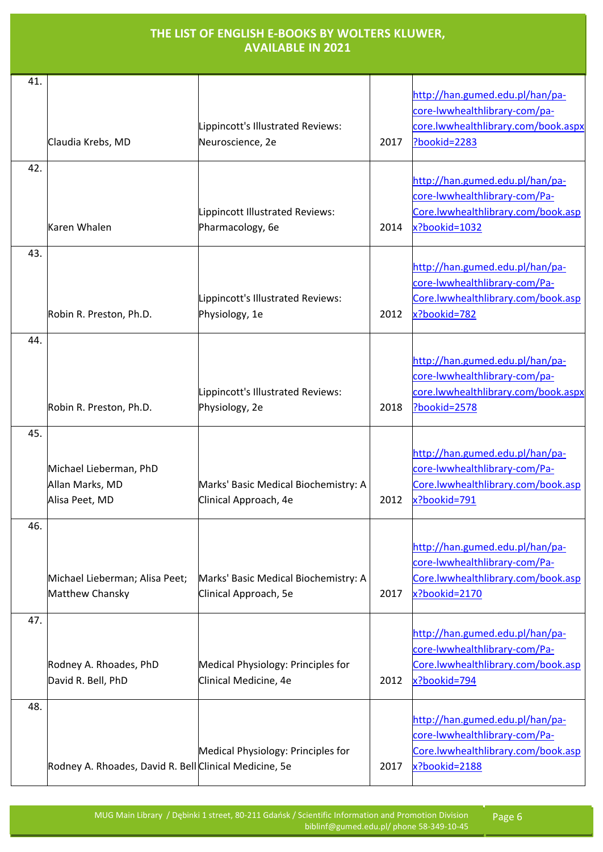| 41. | Claudia Krebs, MD                                           | Lippincott's Illustrated Reviews:<br>Neuroscience, 2e         | 2017 | http://han.gumed.edu.pl/han/pa-<br>core-lwwhealthlibrary-com/pa-<br>core.lwwhealthlibrary.com/book.aspx<br>Pbookid=2283 |
|-----|-------------------------------------------------------------|---------------------------------------------------------------|------|-------------------------------------------------------------------------------------------------------------------------|
| 42. | Karen Whalen                                                | Lippincott Illustrated Reviews:<br>Pharmacology, 6e           | 2014 | http://han.gumed.edu.pl/han/pa-<br>core-lwwhealthlibrary-com/Pa-<br>Core.lwwhealthlibrary.com/book.asp<br>x?bookid=1032 |
| 43. | Robin R. Preston, Ph.D.                                     | Lippincott's Illustrated Reviews:<br>Physiology, 1e           | 2012 | http://han.gumed.edu.pl/han/pa-<br>core-lwwhealthlibrary-com/Pa-<br>Core.lwwhealthlibrary.com/book.asp<br>x?bookid=782  |
| 44. | Robin R. Preston, Ph.D.                                     | Lippincott's Illustrated Reviews:<br>Physiology, 2e           | 2018 | http://han.gumed.edu.pl/han/pa-<br>core-lwwhealthlibrary-com/pa-<br>core.lwwhealthlibrary.com/book.aspx<br>Pbookid=2578 |
| 45. | Michael Lieberman, PhD<br>Allan Marks, MD<br>Alisa Peet, MD | Marks' Basic Medical Biochemistry: A<br>Clinical Approach, 4e | 2012 | http://han.gumed.edu.pl/han/pa-<br>core-lwwhealthlibrary-com/Pa-<br>Core.lwwhealthlibrary.com/book.asp<br>x?bookid=791  |
| 46. | Michael Lieberman; Alisa Peet;<br>Matthew Chansky           | Marks' Basic Medical Biochemistry: A<br>Clinical Approach, 5e | 2017 | http://han.gumed.edu.pl/han/pa-<br>core-lwwhealthlibrary-com/Pa-<br>Core.lwwhealthlibrary.com/book.asp<br>x?bookid=2170 |
| 47. | Rodney A. Rhoades, PhD<br>David R. Bell, PhD                | Medical Physiology: Principles for<br>Clinical Medicine, 4e   | 2012 | http://han.gumed.edu.pl/han/pa-<br>core-lwwhealthlibrary-com/Pa-<br>Core.lwwhealthlibrary.com/book.asp<br>x?bookid=794  |
| 48. | Rodney A. Rhoades, David R. Bell Clinical Medicine, 5e      | Medical Physiology: Principles for                            | 2017 | http://han.gumed.edu.pl/han/pa-<br>core-lwwhealthlibrary-com/Pa-<br>Core.lwwhealthlibrary.com/book.asp<br>x?bookid=2188 |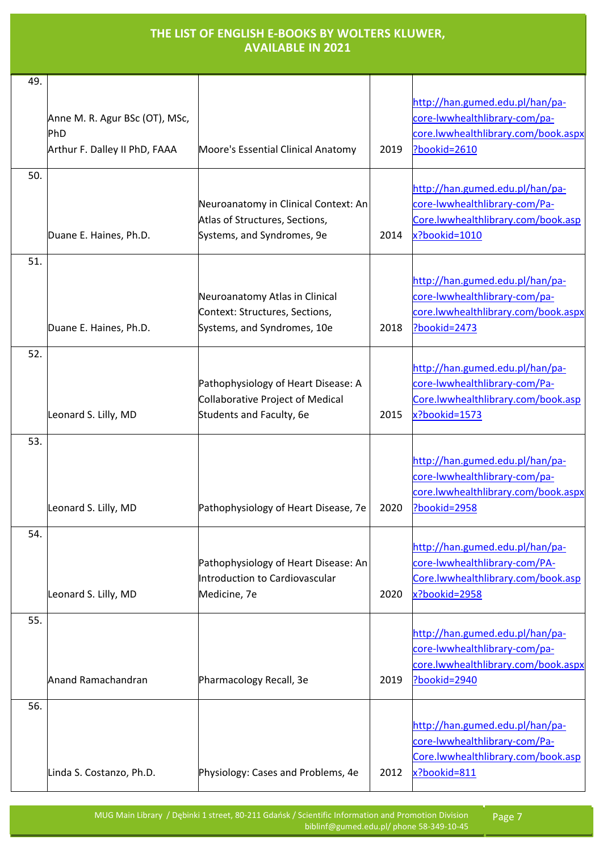| 49. |                                                                        |                                                                                                      |      |                                                                                                                         |
|-----|------------------------------------------------------------------------|------------------------------------------------------------------------------------------------------|------|-------------------------------------------------------------------------------------------------------------------------|
|     | Anne M. R. Agur BSc (OT), MSc,<br>PhD<br>Arthur F. Dalley II PhD, FAAA | Moore's Essential Clinical Anatomy                                                                   | 2019 | http://han.gumed.edu.pl/han/pa-<br>core-lwwhealthlibrary-com/pa-<br>core.lwwhealthlibrary.com/book.aspx<br>?bookid=2610 |
| 50. | Duane E. Haines, Ph.D.                                                 | Neuroanatomy in Clinical Context: An<br>Atlas of Structures, Sections,<br>Systems, and Syndromes, 9e | 2014 | http://han.gumed.edu.pl/han/pa-<br>core-lwwhealthlibrary-com/Pa-<br>Core.lwwhealthlibrary.com/book.asp<br>x?bookid=1010 |
| 51. | Duane E. Haines, Ph.D.                                                 | Neuroanatomy Atlas in Clinical<br>Context: Structures, Sections,<br>Systems, and Syndromes, 10e      | 2018 | http://han.gumed.edu.pl/han/pa-<br>core-lwwhealthlibrary-com/pa-<br>core.lwwhealthlibrary.com/book.aspx<br>Pbookid=2473 |
| 52. | Leonard S. Lilly, MD                                                   | Pathophysiology of Heart Disease: A<br>Collaborative Project of Medical<br>Students and Faculty, 6e  | 2015 | http://han.gumed.edu.pl/han/pa-<br>core-lwwhealthlibrary-com/Pa-<br>Core.lwwhealthlibrary.com/book.asp<br>x?bookid=1573 |
| 53. | Leonard S. Lilly, MD                                                   | Pathophysiology of Heart Disease, 7e                                                                 | 2020 | http://han.gumed.edu.pl/han/pa-<br>core-lwwhealthlibrary-com/pa-<br>core.lwwhealthlibrary.com/book.aspx<br>?bookid=2958 |
| 54. | Leonard S. Lilly, MD                                                   | Pathophysiology of Heart Disease: An<br>Introduction to Cardiovascular<br>Medicine, 7e               | 2020 | http://han.gumed.edu.pl/han/pa-<br>core-lwwhealthlibrary-com/PA-<br>Core.lwwhealthlibrary.com/book.asp<br>x?bookid=2958 |
| 55. | Anand Ramachandran                                                     | Pharmacology Recall, 3e                                                                              | 2019 | http://han.gumed.edu.pl/han/pa-<br>core-lwwhealthlibrary-com/pa-<br>core.lwwhealthlibrary.com/book.aspx<br>Pbookid=2940 |
| 56. | Linda S. Costanzo, Ph.D.                                               | Physiology: Cases and Problems, 4e                                                                   | 2012 | http://han.gumed.edu.pl/han/pa-<br>core-lwwhealthlibrary-com/Pa-<br>Core.lwwhealthlibrary.com/book.asp<br>x?bookid=811  |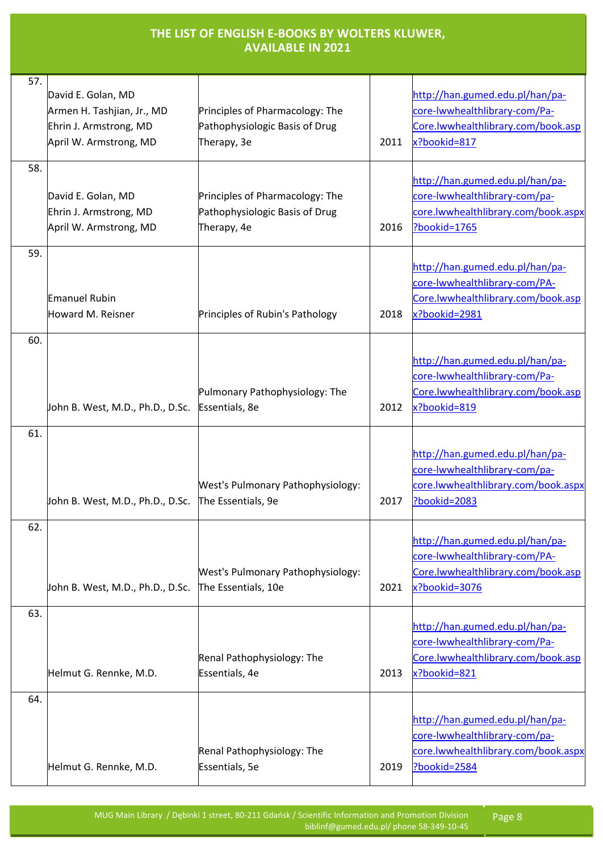| <b>THE LIST OF ENGLISH E-BOOKS BY WOLTERS KLUWER,</b> |
|-------------------------------------------------------|
| <b>AVAILABLE IN 2021</b>                              |

| 57. |                                  |                                          |      |                                     |
|-----|----------------------------------|------------------------------------------|------|-------------------------------------|
|     | David E. Golan, MD               |                                          |      | http://han.gumed.edu.pl/han/pa-     |
|     | Armen H. Tashjian, Jr., MD       | Principles of Pharmacology: The          |      | core-lwwhealthlibrary-com/Pa-       |
|     | Ehrin J. Armstrong, MD           | Pathophysiologic Basis of Drug           |      | Core.lwwhealthlibrary.com/book.asp  |
|     | April W. Armstrong, MD           | Therapy, 3e                              | 2011 | x?bookid=817                        |
|     |                                  |                                          |      |                                     |
| 58. |                                  |                                          |      |                                     |
|     |                                  |                                          |      | http://han.gumed.edu.pl/han/pa-     |
|     | David E. Golan, MD               | Principles of Pharmacology: The          |      | core-lwwhealthlibrary-com/pa-       |
|     | Ehrin J. Armstrong, MD           | Pathophysiologic Basis of Drug           |      | core.lwwhealthlibrary.com/book.aspx |
|     | April W. Armstrong, MD           | Therapy, 4e                              | 2016 | Pbookid=1765                        |
| 59. |                                  |                                          |      |                                     |
|     |                                  |                                          |      | http://han.gumed.edu.pl/han/pa-     |
|     |                                  |                                          |      | core-lwwhealthlibrary-com/PA-       |
|     | <b>Emanuel Rubin</b>             |                                          |      | Core.lwwhealthlibrary.com/book.asp  |
|     | Howard M. Reisner                | Principles of Rubin's Pathology          | 2018 | x?bookid=2981                       |
|     |                                  |                                          |      |                                     |
| 60. |                                  |                                          |      |                                     |
|     |                                  |                                          |      | http://han.gumed.edu.pl/han/pa-     |
|     |                                  |                                          |      | core-lwwhealthlibrary-com/Pa-       |
|     |                                  | Pulmonary Pathophysiology: The           |      | Core.lwwhealthlibrary.com/book.asp  |
|     | John B. West, M.D., Ph.D., D.Sc. | Essentials, 8e                           | 2012 | x?bookid=819                        |
|     |                                  |                                          |      |                                     |
| 61. |                                  |                                          |      |                                     |
|     |                                  |                                          |      | http://han.gumed.edu.pl/han/pa-     |
|     |                                  |                                          |      | core-lwwhealthlibrary-com/pa-       |
|     |                                  | <b>West's Pulmonary Pathophysiology:</b> |      | core.lwwhealthlibrary.com/book.aspx |
|     | John B. West, M.D., Ph.D., D.Sc. | The Essentials, 9e                       | 2017 | Pbookid=2083                        |
| 62. |                                  |                                          |      |                                     |
|     |                                  |                                          |      | http://han.gumed.edu.pl/han/pa-     |
|     |                                  |                                          |      | core-lwwhealthlibrary-com/PA-       |
|     |                                  | <b>West's Pulmonary Pathophysiology:</b> |      | Core.lwwhealthlibrary.com/book.asp  |
|     | John B. West, M.D., Ph.D., D.Sc. | The Essentials, 10e                      | 2021 | x?bookid=3076                       |
|     |                                  |                                          |      |                                     |
| 63. |                                  |                                          |      |                                     |
|     |                                  |                                          |      | http://han.gumed.edu.pl/han/pa-     |
|     |                                  |                                          |      | core-lwwhealthlibrary-com/Pa-       |
|     |                                  | Renal Pathophysiology: The               |      | Core.lwwhealthlibrary.com/book.asp  |
|     | Helmut G. Rennke, M.D.           | Essentials, 4e                           | 2013 | x?bookid=821                        |
| 64. |                                  |                                          |      |                                     |
|     |                                  |                                          |      |                                     |
|     |                                  |                                          |      | http://han.gumed.edu.pl/han/pa-     |
|     |                                  |                                          |      | core-lwwhealthlibrary-com/pa-       |
|     |                                  | Renal Pathophysiology: The               |      | core.lwwhealthlibrary.com/book.aspx |
|     | Helmut G. Rennke, M.D.           | Essentials, 5e                           | 2019 | Pbookid=2584                        |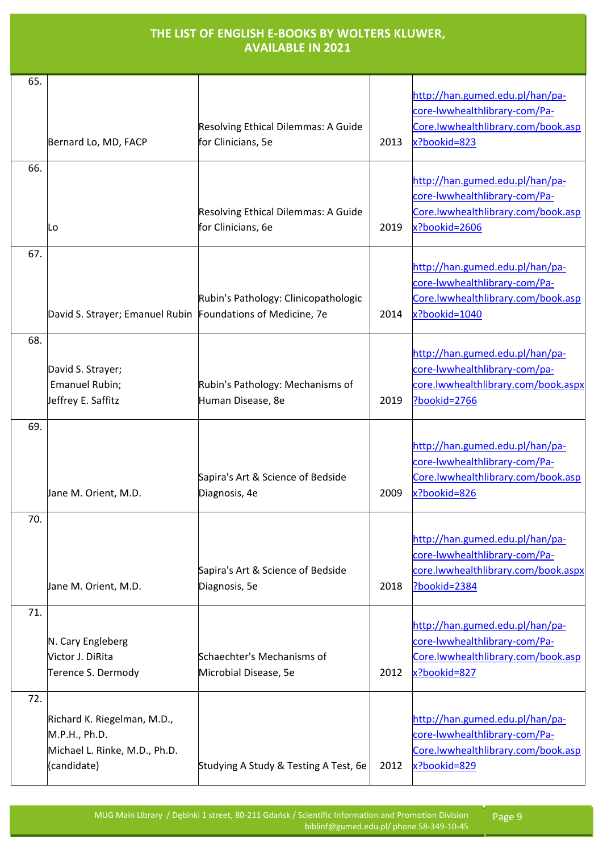| 65. | Bernard Lo, MD, FACP                                                                         | Resolving Ethical Dilemmas: A Guide<br>for Clinicians, 5e | 2013 | http://han.gumed.edu.pl/han/pa-<br>core-lwwhealthlibrary-com/Pa-<br>Core.lwwhealthlibrary.com/book.asp<br>x?bookid=823  |
|-----|----------------------------------------------------------------------------------------------|-----------------------------------------------------------|------|-------------------------------------------------------------------------------------------------------------------------|
| 66. | Lo                                                                                           | Resolving Ethical Dilemmas: A Guide<br>for Clinicians, 6e | 2019 | http://han.gumed.edu.pl/han/pa-<br>core-lwwhealthlibrary-com/Pa-<br>Core.lwwhealthlibrary.com/book.asp<br>x?bookid=2606 |
| 67. | David S. Strayer; Emanuel Rubin Foundations of Medicine, 7e                                  | Rubin's Pathology: Clinicopathologic                      | 2014 | http://han.gumed.edu.pl/han/pa-<br>core-lwwhealthlibrary-com/Pa-<br>Core.lwwhealthlibrary.com/book.asp<br>x?bookid=1040 |
| 68. | David S. Strayer;<br>Emanuel Rubin;<br>Jeffrey E. Saffitz                                    | Rubin's Pathology: Mechanisms of<br>Human Disease, 8e     | 2019 | http://han.gumed.edu.pl/han/pa-<br>core-lwwhealthlibrary-com/pa-<br>core.lwwhealthlibrary.com/book.aspx<br>Pbookid=2766 |
| 69. | Jane M. Orient, M.D.                                                                         | Sapira's Art & Science of Bedside<br>Diagnosis, 4e        | 2009 | http://han.gumed.edu.pl/han/pa-<br>core-lwwhealthlibrary-com/Pa-<br>Core.lwwhealthlibrary.com/book.asp<br>x?bookid=826  |
| 70. | Jane M. Orient, M.D.                                                                         | Sapira's Art & Science of Bedside<br>Diagnosis, 5e        | 2018 | http://han.gumed.edu.pl/han/pa-<br>core-lwwhealthlibrary-com/Pa-<br>core.lwwhealthlibrary.com/book.aspx<br>?bookid=2384 |
| 71. | N. Cary Engleberg<br>Victor J. DiRita<br>Terence S. Dermody                                  | Schaechter's Mechanisms of<br>Microbial Disease, 5e       | 2012 | http://han.gumed.edu.pl/han/pa-<br>core-lwwhealthlibrary-com/Pa-<br>Core.lwwhealthlibrary.com/book.asp<br>x?bookid=827  |
| 72. | Richard K. Riegelman, M.D.,<br>M.P.H., Ph.D.<br>Michael L. Rinke, M.D., Ph.D.<br>(candidate) | Studying A Study & Testing A Test, 6e                     | 2012 | http://han.gumed.edu.pl/han/pa-<br>core-lwwhealthlibrary-com/Pa-<br>Core.lwwhealthlibrary.com/book.asp<br>x?bookid=829  |